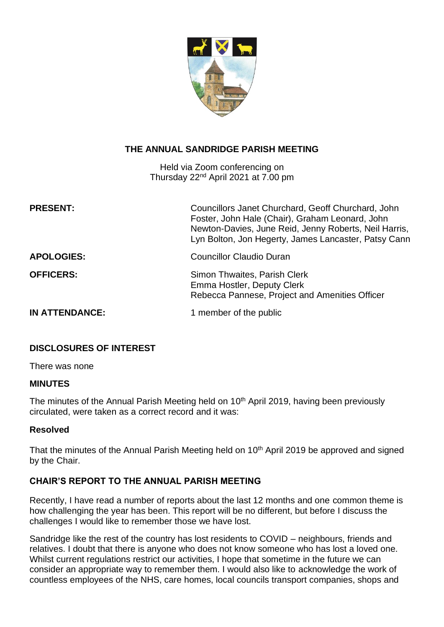

# **THE ANNUAL SANDRIDGE PARISH MEETING**

Held via Zoom conferencing on Thursday 22nd April 2021 at 7.00 pm

| <b>PRESENT:</b>       | Councillors Janet Churchard, Geoff Churchard, John<br>Foster, John Hale (Chair), Graham Leonard, John<br>Newton-Davies, June Reid, Jenny Roberts, Neil Harris,<br>Lyn Bolton, Jon Hegerty, James Lancaster, Patsy Cann |
|-----------------------|------------------------------------------------------------------------------------------------------------------------------------------------------------------------------------------------------------------------|
| <b>APOLOGIES:</b>     | <b>Councillor Claudio Duran</b>                                                                                                                                                                                        |
| <b>OFFICERS:</b>      | Simon Thwaites, Parish Clerk<br>Emma Hostler, Deputy Clerk<br>Rebecca Pannese, Project and Amenities Officer                                                                                                           |
| <b>IN ATTENDANCE:</b> | 1 member of the public                                                                                                                                                                                                 |

## **DISCLOSURES OF INTEREST**

There was none

### **MINUTES**

The minutes of the Annual Parish Meeting held on 10<sup>th</sup> April 2019, having been previously circulated, were taken as a correct record and it was:

### **Resolved**

That the minutes of the Annual Parish Meeting held on 10<sup>th</sup> April 2019 be approved and signed by the Chair.

## **CHAIR'S REPORT TO THE ANNUAL PARISH MEETING**

Recently, I have read a number of reports about the last 12 months and one common theme is how challenging the year has been. This report will be no different, but before I discuss the challenges I would like to remember those we have lost.

Sandridge like the rest of the country has lost residents to COVID – neighbours, friends and relatives. I doubt that there is anyone who does not know someone who has lost a loved one. Whilst current regulations restrict our activities, I hope that sometime in the future we can consider an appropriate way to remember them. I would also like to acknowledge the work of countless employees of the NHS, care homes, local councils transport companies, shops and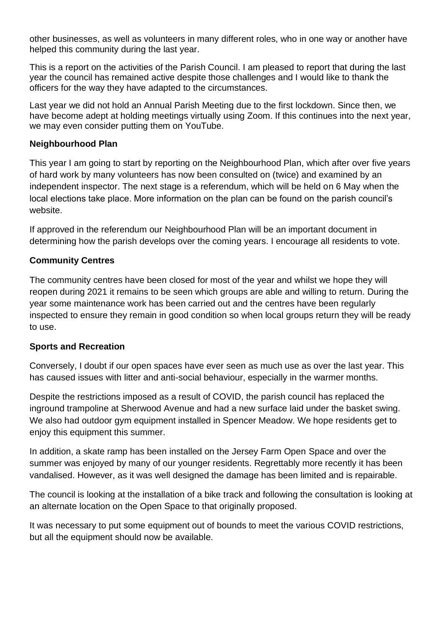other businesses, as well as volunteers in many different roles, who in one way or another have helped this community during the last year.

This is a report on the activities of the Parish Council. I am pleased to report that during the last year the council has remained active despite those challenges and I would like to thank the officers for the way they have adapted to the circumstances.

Last year we did not hold an Annual Parish Meeting due to the first lockdown. Since then, we have become adept at holding meetings virtually using Zoom. If this continues into the next year, we may even consider putting them on YouTube.

## **Neighbourhood Plan**

This year I am going to start by reporting on the Neighbourhood Plan, which after over five years of hard work by many volunteers has now been consulted on (twice) and examined by an independent inspector. The next stage is a referendum, which will be held on 6 May when the local elections take place. More information on the plan can be found on the parish council's website.

If approved in the referendum our Neighbourhood Plan will be an important document in determining how the parish develops over the coming years. I encourage all residents to vote.

# **Community Centres**

The community centres have been closed for most of the year and whilst we hope they will reopen during 2021 it remains to be seen which groups are able and willing to return. During the year some maintenance work has been carried out and the centres have been regularly inspected to ensure they remain in good condition so when local groups return they will be ready to use.

## **Sports and Recreation**

Conversely, I doubt if our open spaces have ever seen as much use as over the last year. This has caused issues with litter and anti-social behaviour, especially in the warmer months.

Despite the restrictions imposed as a result of COVID, the parish council has replaced the inground trampoline at Sherwood Avenue and had a new surface laid under the basket swing. We also had outdoor gym equipment installed in Spencer Meadow. We hope residents get to enjoy this equipment this summer.

In addition, a skate ramp has been installed on the Jersey Farm Open Space and over the summer was enjoyed by many of our younger residents. Regrettably more recently it has been vandalised. However, as it was well designed the damage has been limited and is repairable.

The council is looking at the installation of a bike track and following the consultation is looking at an alternate location on the Open Space to that originally proposed.

It was necessary to put some equipment out of bounds to meet the various COVID restrictions, but all the equipment should now be available.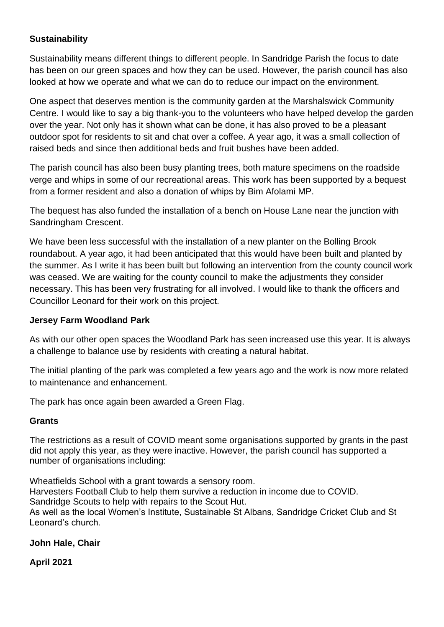## **Sustainability**

Sustainability means different things to different people. In Sandridge Parish the focus to date has been on our green spaces and how they can be used. However, the parish council has also looked at how we operate and what we can do to reduce our impact on the environment.

One aspect that deserves mention is the community garden at the Marshalswick Community Centre. I would like to say a big thank-you to the volunteers who have helped develop the garden over the year. Not only has it shown what can be done, it has also proved to be a pleasant outdoor spot for residents to sit and chat over a coffee. A year ago, it was a small collection of raised beds and since then additional beds and fruit bushes have been added.

The parish council has also been busy planting trees, both mature specimens on the roadside verge and whips in some of our recreational areas. This work has been supported by a bequest from a former resident and also a donation of whips by Bim Afolami MP.

The bequest has also funded the installation of a bench on House Lane near the junction with Sandringham Crescent.

We have been less successful with the installation of a new planter on the Bolling Brook roundabout. A year ago, it had been anticipated that this would have been built and planted by the summer. As I write it has been built but following an intervention from the county council work was ceased. We are waiting for the county council to make the adjustments they consider necessary. This has been very frustrating for all involved. I would like to thank the officers and Councillor Leonard for their work on this project.

## **Jersey Farm Woodland Park**

As with our other open spaces the Woodland Park has seen increased use this year. It is always a challenge to balance use by residents with creating a natural habitat.

The initial planting of the park was completed a few years ago and the work is now more related to maintenance and enhancement.

The park has once again been awarded a Green Flag.

## **Grants**

The restrictions as a result of COVID meant some organisations supported by grants in the past did not apply this year, as they were inactive. However, the parish council has supported a number of organisations including:

Wheatfields School with a grant towards a sensory room. Harvesters Football Club to help them survive a reduction in income due to COVID. Sandridge Scouts to help with repairs to the Scout Hut. As well as the local Women's Institute, Sustainable St Albans, Sandridge Cricket Club and St Leonard's church.

# **John Hale, Chair**

## **April 2021**